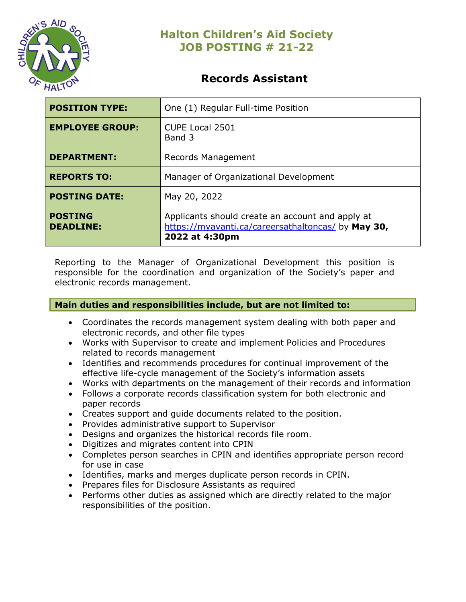

# **Records Assistant**

| <b>POSITION TYPE:</b>              | One (1) Regular Full-time Position                                                                                       |
|------------------------------------|--------------------------------------------------------------------------------------------------------------------------|
| <b>EMPLOYEE GROUP:</b>             | CUPE Local 2501<br>Band 3                                                                                                |
| <b>DEPARTMENT:</b>                 | Records Management                                                                                                       |
| <b>REPORTS TO:</b>                 | Manager of Organizational Development                                                                                    |
| <b>POSTING DATE:</b>               | May 20, 2022                                                                                                             |
| <b>POSTING</b><br><b>DEADLINE:</b> | Applicants should create an account and apply at<br>https://myavanti.ca/careersathaltoncas/ by May 30,<br>2022 at 4:30pm |

Reporting to the Manager of Organizational Development this position is responsible for the coordination and organization of the Society's paper and electronic records management.

## **Main duties and responsibilities include, but are not limited to:**

- Coordinates the records management system dealing with both paper and electronic records, and other file types
- Works with Supervisor to create and implement Policies and Procedures related to records management
- Identifies and recommends procedures for continual improvement of the effective life-cycle management of the Society's information assets
- Works with departments on the management of their records and information
- Follows a corporate records classification system for both electronic and paper records
- Creates support and guide documents related to the position.
- Provides administrative support to Supervisor
- Designs and organizes the historical records file room.
- Digitizes and migrates content into CPIN
- Completes person searches in CPIN and identifies appropriate person record for use in case
- Identifies, marks and merges duplicate person records in CPIN.
- Prepares files for Disclosure Assistants as required
- Performs other duties as assigned which are directly related to the major responsibilities of the position.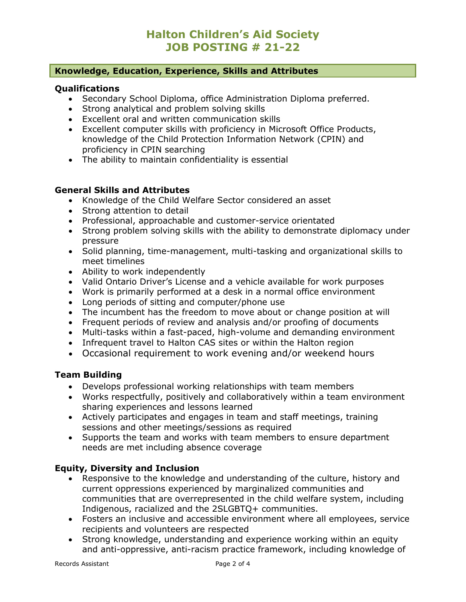### **Knowledge, Education, Experience, Skills and Attributes**

#### **Qualifications**

- Secondary School Diploma, office Administration Diploma preferred.
- Strong analytical and problem solving skills
- Excellent oral and written communication skills
- Excellent computer skills with proficiency in Microsoft Office Products, knowledge of the Child Protection Information Network (CPIN) and proficiency in CPIN searching
- The ability to maintain confidentiality is essential

#### **General Skills and Attributes**

- Knowledge of the Child Welfare Sector considered an asset
- Strong attention to detail
- Professional, approachable and customer-service orientated
- Strong problem solving skills with the ability to demonstrate diplomacy under pressure
- Solid planning, time-management, multi-tasking and organizational skills to meet timelines
- Ability to work independently
- Valid Ontario Driver's License and a vehicle available for work purposes
- Work is primarily performed at a desk in a normal office environment
- Long periods of sitting and computer/phone use
- The incumbent has the freedom to move about or change position at will
- Frequent periods of review and analysis and/or proofing of documents
- Multi-tasks within a fast-paced, high-volume and demanding environment
- Infrequent travel to Halton CAS sites or within the Halton region
- Occasional requirement to work evening and/or weekend hours

### **Team Building**

- Develops professional working relationships with team members
- Works respectfully, positively and collaboratively within a team environment sharing experiences and lessons learned
- Actively participates and engages in team and staff meetings, training sessions and other meetings/sessions as required
- Supports the team and works with team members to ensure department needs are met including absence coverage

## **Equity, Diversity and Inclusion**

- Responsive to the knowledge and understanding of the culture, history and current oppressions experienced by marginalized communities and communities that are overrepresented in the child welfare system, including Indigenous, racialized and the 2SLGBTQ+ communities.
- Fosters an inclusive and accessible environment where all employees, service recipients and volunteers are respected
- Strong knowledge, understanding and experience working within an equity and anti-oppressive, anti-racism practice framework, including knowledge of